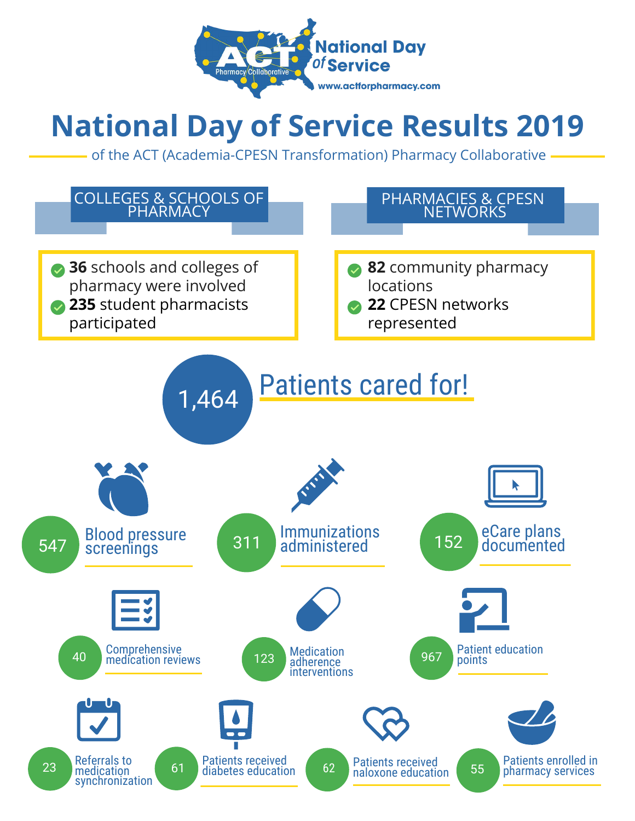

## **National Day of Service Results 2019**

of the ACT (Academia-CPESN Transformation) Pharmacy Collaborative